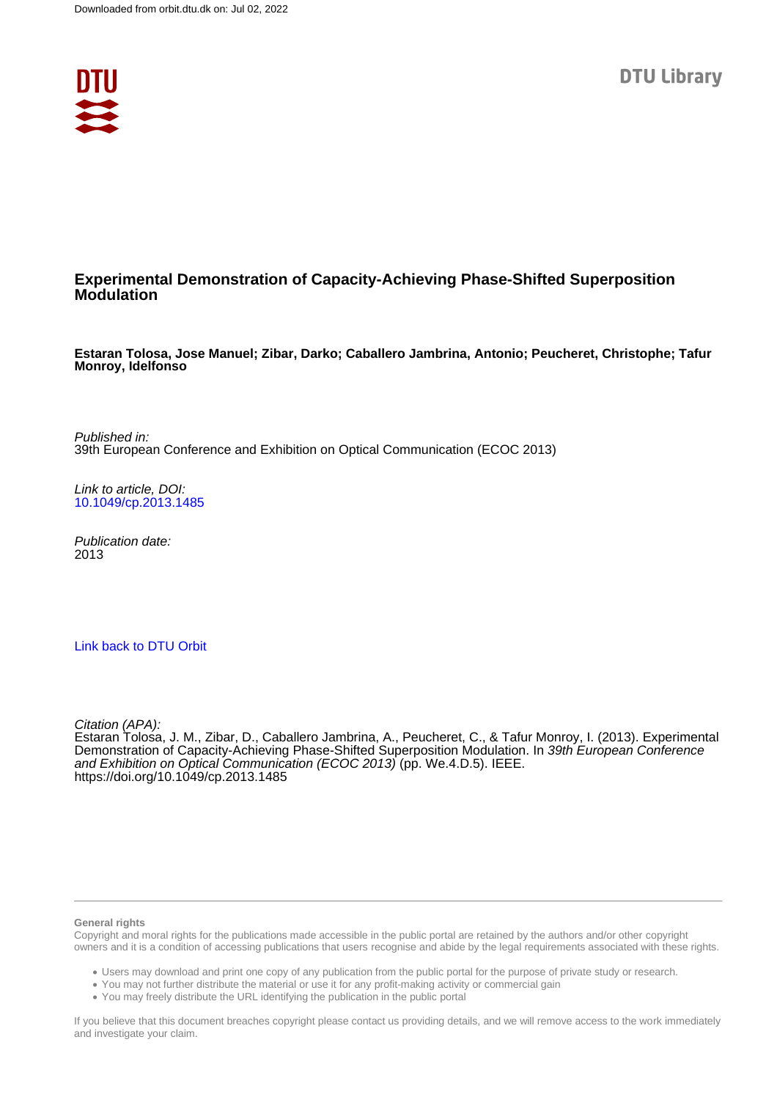

## **Experimental Demonstration of Capacity-Achieving Phase-Shifted Superposition Modulation**

**Estaran Tolosa, Jose Manuel; Zibar, Darko; Caballero Jambrina, Antonio; Peucheret, Christophe; Tafur Monroy, Idelfonso**

Published in: 39th European Conference and Exhibition on Optical Communication (ECOC 2013)

Link to article, DOI: [10.1049/cp.2013.1485](https://doi.org/10.1049/cp.2013.1485)

Publication date: 2013

#### [Link back to DTU Orbit](https://orbit.dtu.dk/en/publications/246ae5ed-dea2-46e3-a547-0936e36ebe96)

Citation (APA):

Estaran Tolosa, J. M., Zibar, D., Caballero Jambrina, A., Peucheret, C., & Tafur Monroy, I. (2013). Experimental Demonstration of Capacity-Achieving Phase-Shifted Superposition Modulation. In 39th European Conference and Exhibition on Optical Communication (ECOC 2013) (pp. We.4.D.5). IEEE. <https://doi.org/10.1049/cp.2013.1485>

#### **General rights**

Copyright and moral rights for the publications made accessible in the public portal are retained by the authors and/or other copyright owners and it is a condition of accessing publications that users recognise and abide by the legal requirements associated with these rights.

Users may download and print one copy of any publication from the public portal for the purpose of private study or research.

- You may not further distribute the material or use it for any profit-making activity or commercial gain
- You may freely distribute the URL identifying the publication in the public portal

If you believe that this document breaches copyright please contact us providing details, and we will remove access to the work immediately and investigate your claim.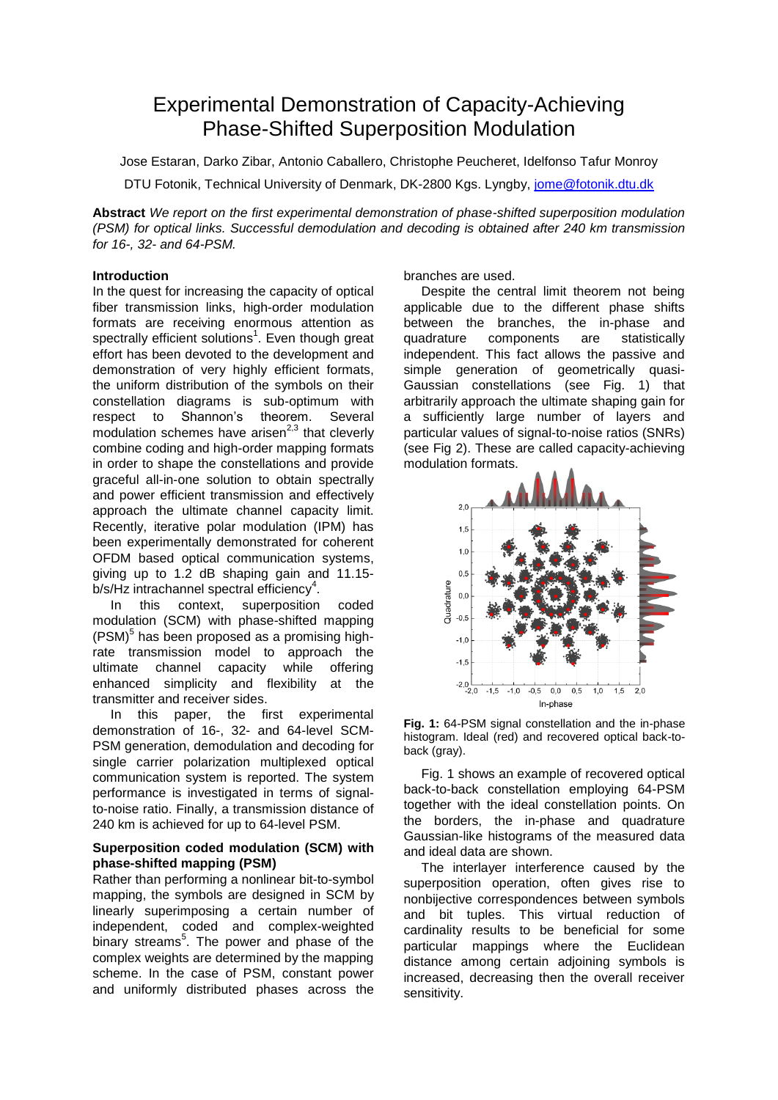# Experimental Demonstration of Capacity-Achieving Phase-Shifted Superposition Modulation

Jose Estaran, Darko Zibar, Antonio Caballero, Christophe Peucheret, Idelfonso Tafur Monroy

DTU Fotonik, Technical University of Denmark, DK-2800 Kgs. Lyngby, [jome@fotonik.dtu.dk](mailto:jome@fotonik.dtu.dk)

**Abstract** *We report on the first experimental demonstration of phase-shifted superposition modulation (PSM) for optical links. Successful demodulation and decoding is obtained after 240 km transmission for 16-, 32- and 64-PSM.*

## **Introduction**

In the quest for increasing the capacity of optical fiber transmission links, high-order modulation formats are receiving enormous attention as spectrally efficient solutions 1 . Even though great effort has been devoted to the development and demonstration of very highly efficient formats, the uniform distribution of the symbols on their constellation diagrams is sub-optimum with respect to Shannon's theorem. Several modulation schemes have arisen<sup> $2,3$ </sup> that cleverly combine coding and high-order mapping formats in order to shape the constellations and provide graceful all-in-one solution to obtain spectrally and power efficient transmission and effectively approach the ultimate channel capacity limit. Recently, iterative polar modulation (IPM) has been experimentally demonstrated for coherent OFDM based optical communication systems, giving up to 1.2 dB shaping gain and 11.15 b/s/Hz intrachannel spectral efficiency<sup>4</sup>.

 In this context, superposition coded modulation (SCM) with phase-shifted mapping  $($ PSM $)^5$  has been proposed as a promising highrate transmission model to approach the ultimate channel capacity while offering enhanced simplicity and flexibility at the transmitter and receiver sides.

 In this paper, the first experimental demonstration of 16-, 32- and 64-level SCM-PSM generation, demodulation and decoding for single carrier polarization multiplexed optical communication system is reported. The system performance is investigated in terms of signalto-noise ratio. Finally, a transmission distance of 240 km is achieved for up to 64-level PSM.

### **Superposition coded modulation (SCM) with phase-shifted mapping (PSM)**

Rather than performing a nonlinear bit-to-symbol mapping, the symbols are designed in SCM by linearly superimposing a certain number of independent, coded and complex-weighted binary streams<sup>5</sup>. The power and phase of the complex weights are determined by the mapping scheme. In the case of PSM, constant power and uniformly distributed phases across the branches are used.

Despite the central limit theorem not being applicable due to the different phase shifts between the branches, the in-phase and quadrature components are statistically independent. This fact allows the passive and simple generation of geometrically quasi-Gaussian constellations (see Fig. 1) that arbitrarily approach the ultimate shaping gain for a sufficiently large number of layers and particular values of signal-to-noise ratios (SNRs) (see Fig 2). These are called capacity-achieving modulation formats.



**Fig. 1:** 64-PSM signal constellation and the in-phase histogram. Ideal (red) and recovered optical back-toback (gray).

Fig. 1 shows an example of recovered optical back-to-back constellation employing 64-PSM together with the ideal constellation points. On the borders, the in-phase and quadrature Gaussian-like histograms of the measured data and ideal data are shown.

The interlayer interference caused by the superposition operation, often gives rise to nonbijective correspondences between symbols and bit tuples. This virtual reduction of cardinality results to be beneficial for some particular mappings where the Euclidean distance among certain adjoining symbols is increased, decreasing then the overall receiver sensitivity.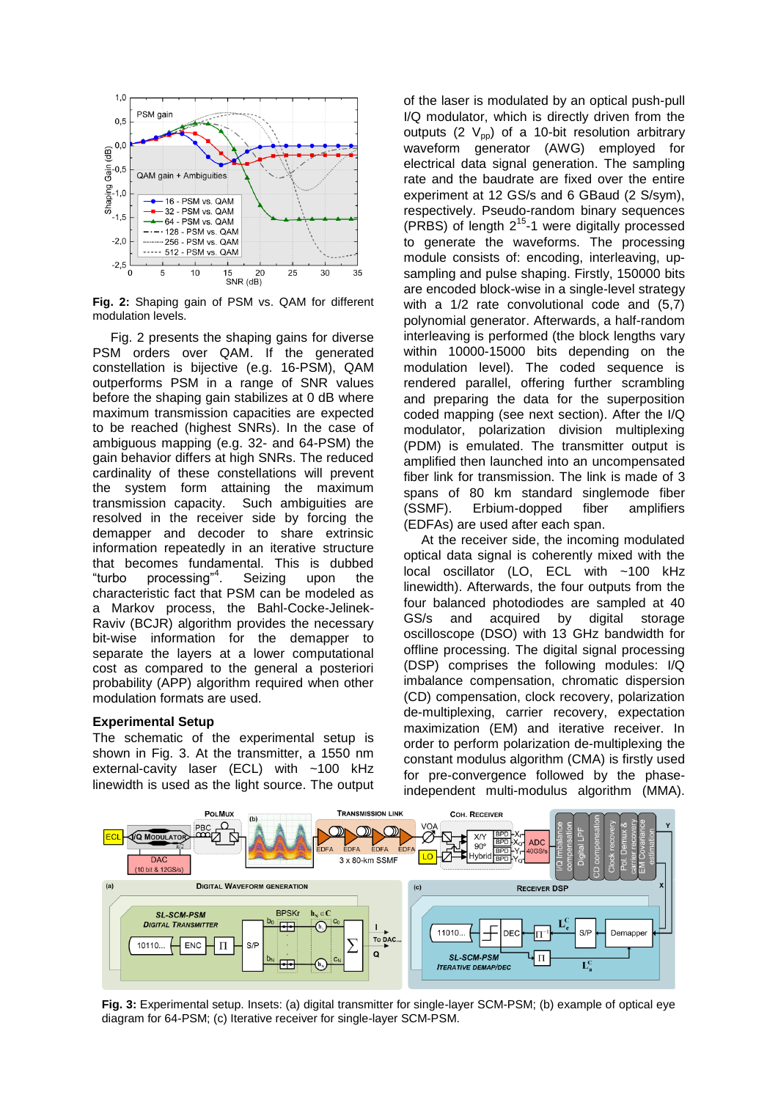

**Fig. 2:** Shaping gain of PSM vs. QAM for different modulation levels.

 Fig. 2 presents the shaping gains for diverse PSM orders over QAM. If the generated constellation is bijective (e.g. 16-PSM), QAM outperforms PSM in a range of SNR values before the shaping gain stabilizes at 0 dB where maximum transmission capacities are expected to be reached (highest SNRs). In the case of ambiguous mapping (e.g. 32- and 64-PSM) the gain behavior differs at high SNRs. The reduced cardinality of these constellations will prevent the system form attaining the maximum transmission capacity. Such ambiguities are resolved in the receiver side by forcing the demapper and decoder to share extrinsic information repeatedly in an iterative structure that becomes fundamental. This is dubbed "turbo processing"<sup>4</sup>. Seizing upon the characteristic fact that PSM can be modeled as a Markov process, the Bahl-Cocke-Jelinek-Raviv (BCJR) algorithm provides the necessary bit-wise information for the demapper to separate the layers at a lower computational cost as compared to the general a posteriori probability (APP) algorithm required when other modulation formats are used.

#### **Experimental Setup**

The schematic of the experimental setup is shown in Fig. 3. At the transmitter, a 1550 nm external-cavity laser (ECL) with ~100 kHz linewidth is used as the light source. The output

of the laser is modulated by an optical push-pull I/Q modulator, which is directly driven from the outputs (2  $V_{\text{pp}}$ ) of a 10-bit resolution arbitrary waveform generator (AWG) employed for electrical data signal generation. The sampling rate and the baudrate are fixed over the entire experiment at 12 GS/s and 6 GBaud (2 S/sym), respectively. Pseudo-random binary sequences (PRBS) of length  $2^{15}$ -1 were digitally processed to generate the waveforms. The processing module consists of: encoding, interleaving, upsampling and pulse shaping. Firstly, 150000 bits are encoded block-wise in a single-level strategy with a 1/2 rate convolutional code and (5,7) polynomial generator. Afterwards, a half-random interleaving is performed (the block lengths vary within 10000-15000 bits depending on the modulation level). The coded sequence is rendered parallel, offering further scrambling and preparing the data for the superposition coded mapping (see next section). After the I/Q modulator, polarization division multiplexing (PDM) is emulated. The transmitter output is amplified then launched into an uncompensated fiber link for transmission. The link is made of 3 spans of 80 km standard singlemode fiber (SSMF). Erbium-dopped fiber amplifiers (EDFAs) are used after each span.

At the receiver side, the incoming modulated optical data signal is coherently mixed with the local oscillator (LO, ECL with ~100 kHz linewidth). Afterwards, the four outputs from the four balanced photodiodes are sampled at 40 GS/s and acquired by digital storage oscilloscope (DSO) with 13 GHz bandwidth for offline processing. The digital signal processing (DSP) comprises the following modules: I/Q imbalance compensation, chromatic dispersion (CD) compensation, clock recovery, polarization de-multiplexing, carrier recovery, expectation maximization (EM) and iterative receiver. In order to perform polarization de-multiplexing the constant modulus algorithm (CMA) is firstly used for pre-convergence followed by the phaseindependent multi-modulus algorithm (MMA).



**Fig. 3:** Experimental setup. Insets: (a) digital transmitter for single-layer SCM-PSM; (b) example of optical eye diagram for 64-PSM; (c) Iterative receiver for single-layer SCM-PSM.